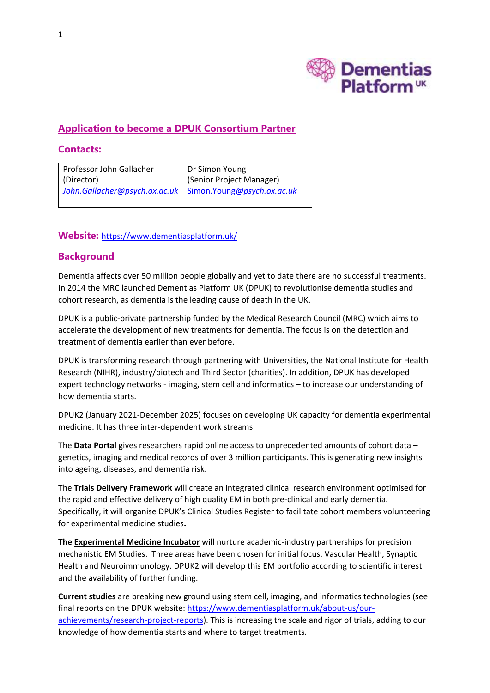

# **Application to become a DPUK Consortium Partner**

#### **Contacts:**

| Professor John Gallacher                                   | Dr Simon Young           |
|------------------------------------------------------------|--------------------------|
| (Director)                                                 | (Senior Project Manager) |
| John.Gallacher@psych.ox.ac.uk   Simon.Young@psych.ox.ac.uk |                          |

#### **Website:** <https://www.dementiasplatform.uk/>

## **Background**

Dementia affects over 50 million people globally and yet to date there are no successful treatments. In 2014 the MRC launched Dementias Platform UK (DPUK) to revolutionise dementia studies and cohort research, as dementia is the leading cause of death in the UK.

DPUK is a public-private partnership funded by the Medical Research Council (MRC) which aims to accelerate the development of new treatments for dementia. The focus is on the detection and treatment of dementia earlier than ever before.

DPUK is transforming research through partnering with Universities, the National Institute for Health Research (NIHR), industry/biotech and Third Sector (charities). In addition, DPUK has developed expert technology networks - imaging, stem cell and informatics – to increase our understanding of how dementia starts.

DPUK2 (January 2021-December 2025) focuses on developing UK capacity for dementia experimental medicine. It has three inter-dependent work streams

The **Data Portal** gives researchers rapid online access to unprecedented amounts of cohort data – genetics, imaging and medical records of over 3 million participants. This is generating new insights into ageing, diseases, and dementia risk.

The **Trials Delivery Framework** will create an integrated clinical research environment optimised for the rapid and effective delivery of high quality EM in both pre-clinical and early dementia. Specifically, it will organise DPUK's Clinical Studies Register to facilitate cohort members volunteering for experimental medicine studies**.**

**The Experimental Medicine Incubator** will nurture academic-industry partnerships for precision mechanistic EM Studies. Three areas have been chosen for initial focus, Vascular Health, Synaptic Health and Neuroimmunology. DPUK2 will develop this EM portfolio according to scientific interest and the availability of further funding.

**Current studies** are breaking new ground using stem cell, imaging, and informatics technologies (see final reports on the DPUK website[: https://www.dementiasplatform.uk/about-us/our](https://www.dementiasplatform.uk/about-us/our-achievements/research-project-reports)[achievements/research-project-reports\)](https://www.dementiasplatform.uk/about-us/our-achievements/research-project-reports). This is increasing the scale and rigor of trials, adding to our knowledge of how dementia starts and where to target treatments.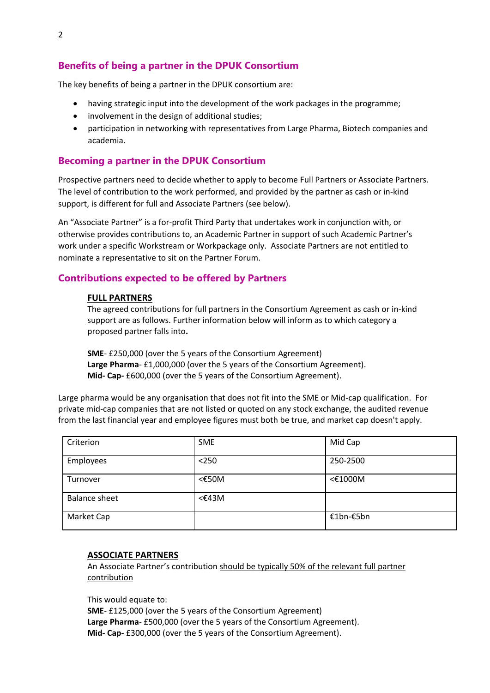The key benefits of being a partner in the DPUK consortium are:

- having strategic input into the development of the work packages in the programme;
- involvement in the design of additional studies;
- participation in networking with representatives from Large Pharma, Biotech companies and academia.

## **Becoming a partner in the DPUK Consortium**

Prospective partners need to decide whether to apply to become Full Partners or Associate Partners. The level of contribution to the work performed, and provided by the partner as cash or in-kind support, is different for full and Associate Partners (see below).

An "Associate Partner" is a for-profit Third Party that undertakes work in conjunction with, or otherwise provides contributions to, an Academic Partner in support of such Academic Partner's work under a specific Workstream or Workpackage only. Associate Partners are not entitled to nominate a representative to sit on the Partner Forum.

# **Contributions expected to be offered by Partners**

#### **FULL PARTNERS**

The agreed contributions for full partners in the Consortium Agreement as cash or in-kind support are as follows. Further information below will inform as to which category a proposed partner falls into**.** 

**SME**- £250,000 (over the 5 years of the Consortium Agreement) **Large Pharma**- £1,000,000 (over the 5 years of the Consortium Agreement). **Mid- Cap-** £600,000 (over the 5 years of the Consortium Agreement).

Large pharma would be any organisation that does not fit into the SME or Mid-cap qualification. For private mid-cap companies that are not listed or quoted on any stock exchange, the audited revenue from the last financial year and employee figures must both be true, and market cap doesn't apply.

| Criterion            | <b>SME</b>      | Mid Cap   |
|----------------------|-----------------|-----------|
| Employees            | $250$           | 250-2500  |
| Turnover             | $<\epsilon$ 50M | <€1000M   |
| <b>Balance sheet</b> | $<\pounds43M$   |           |
| Market Cap           |                 | €1bn-€5bn |

#### **ASSOCIATE PARTNERS**

An Associate Partner's contribution should be typically 50% of the relevant full partner contribution

This would equate to: **SME**- £125,000 (over the 5 years of the Consortium Agreement) **Large Pharma**- £500,000 (over the 5 years of the Consortium Agreement). **Mid- Cap-** £300,000 (over the 5 years of the Consortium Agreement).